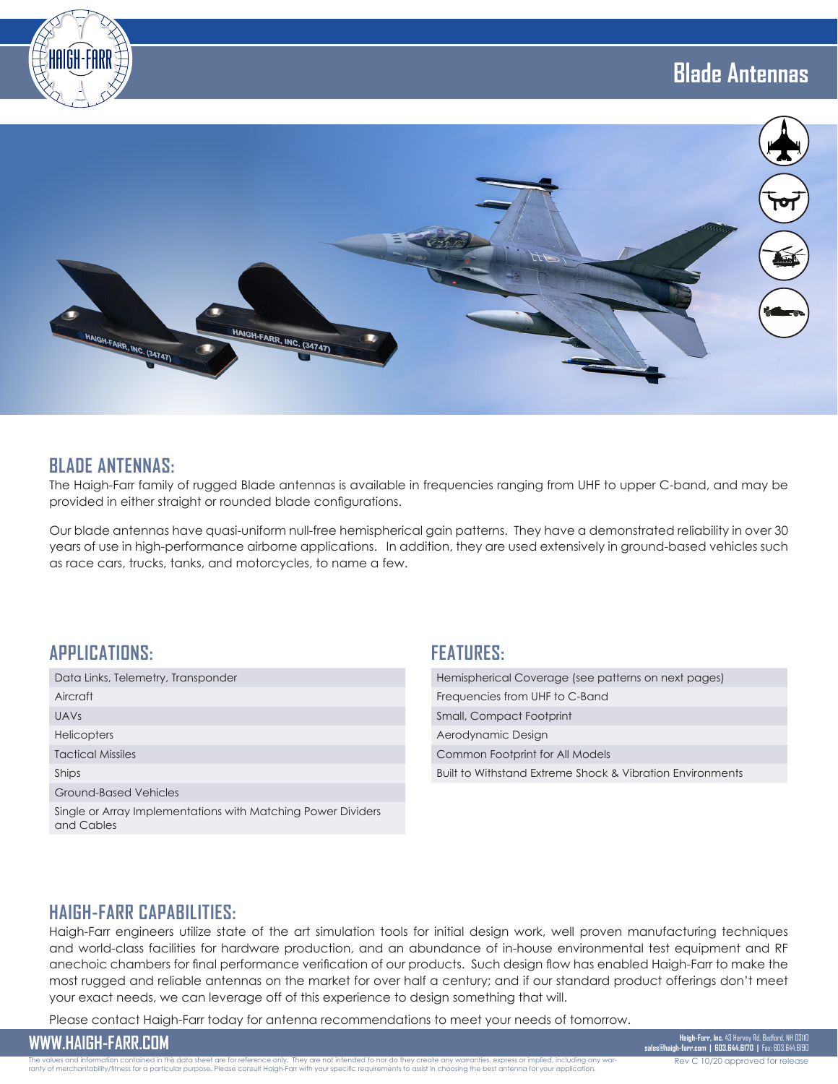



#### **BLADE ANTENNAS:**

The Haigh-Farr family of rugged Blade antennas is available in frequencies ranging from UHF to upper C-band, and may be provided in either straight or rounded blade configurations.

Our blade antennas have quasi-uniform null-free hemispherical gain patterns. They have a demonstrated reliability in over 30 years of use in high-performance airborne applications. In addition, they are used extensively in ground-based vehicles such as race cars, trucks, tanks, and motorcycles, to name a few.

#### **APPLICATIONS:**

| Data Links, Telemetry, Transponder                                         |
|----------------------------------------------------------------------------|
| Aircraft                                                                   |
| UAVS                                                                       |
| <b>Helicopters</b>                                                         |
| <b>Tactical Missiles</b>                                                   |
| Ships                                                                      |
| Ground-Based Vehicles                                                      |
| Single or Array Implementations with Matching Power Dividers<br>and Cables |
|                                                                            |

#### **FEATURES:**

| Hemispherical Coverage (see patterns on next pages)       |
|-----------------------------------------------------------|
| Frequencies from UHF to C-Band                            |
| Small, Compact Footprint                                  |
| Aerodynamic Design                                        |
| Common Footprint for All Models                           |
| Built to Withstand Extreme Shock & Vibration Environments |
|                                                           |

# **HAIGH-FARR CAPABILITIES:**

Haigh-Farr engineers utilize state of the art simulation tools for initial design work, well proven manufacturing techniques and world-class facilities for hardware production, and an abundance of in-house environmental test equipment and RF anechoic chambers for final performance verification of our products. Such design flow has enabled Haigh-Farr to make the most rugged and reliable antennas on the market for over half a century; and if our standard product offerings don't meet your exact needs, we can leverage off of this experience to design something that will.

Please contact Haigh-Farr today for antenna recommendations to meet your needs of tomorrow.

WWW.HAIGH-FARR.COM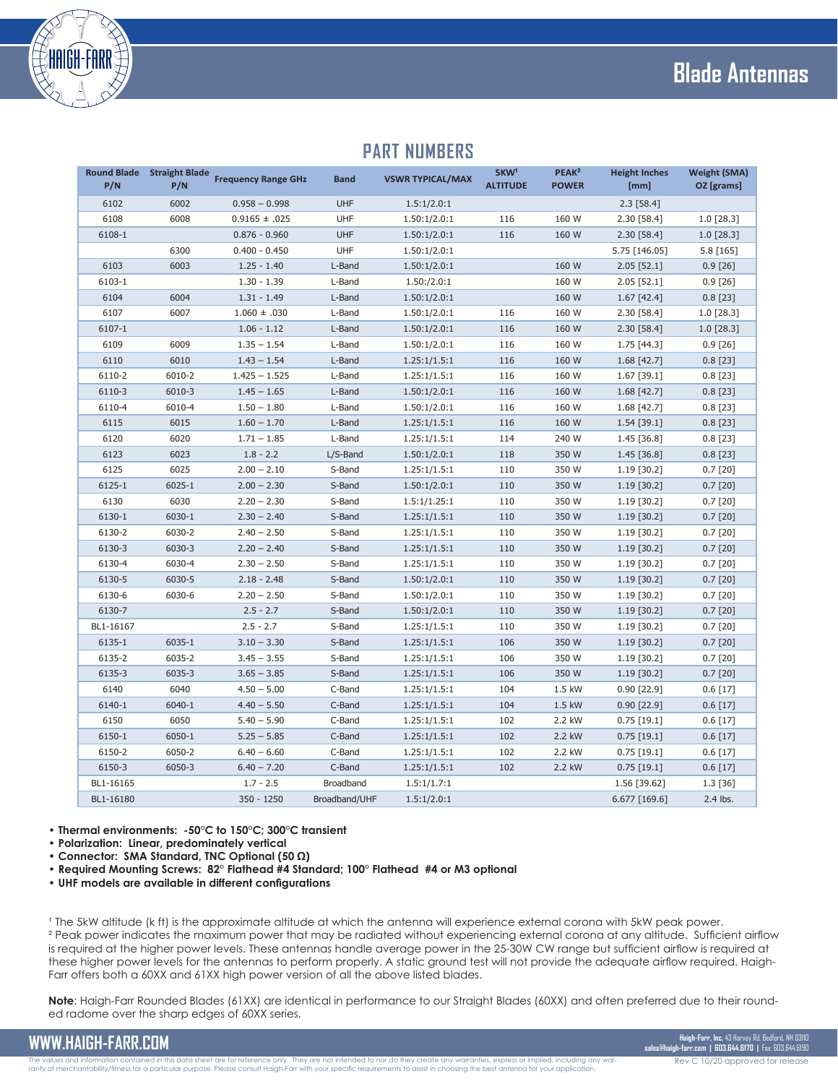# **Blade Antennas**



| <b>Round Blade</b><br>P/N | <b>Straight Blade</b><br>P/N | <b>Frequency Range GHz</b> | <b>Band</b>   | <b>VSWR TYPICAL/MAX</b> | 5KW <sup>1</sup><br><b>ALTITUDE</b> | PEAK <sup>2</sup><br><b>POWER</b> | <b>Height Inches</b><br>[mm] | <b>Weight (SMA)</b><br>OZ [grams] |
|---------------------------|------------------------------|----------------------------|---------------|-------------------------|-------------------------------------|-----------------------------------|------------------------------|-----------------------------------|
| 6102                      | 6002                         | $0.958 - 0.998$            | UHF           | 1.5:1/2.0:1             |                                     |                                   | $2.3$ [58.4]                 |                                   |
| 6108                      | 6008                         | $0.9165 \pm .025$          | UHF           | 1.50:1/2.0:1            | 116                                 | 160 W                             | 2.30 [58.4]                  | $1.0$ [28.3]                      |
| 6108-1                    |                              | $0.876 - 0.960$            | UHF           | 1.50:1/2.0:1            | 116                                 | 160 W                             | 2.30 [58.4]                  | 1.0 [28.3]                        |
|                           | 6300                         | $0.400 - 0.450$            | UHF           | 1.50:1/2.0:1            |                                     |                                   | 5.75 [146.05]                | 5.8 [165]                         |
| 6103                      | 6003                         | $1.25 - 1.40$              | L-Band        | 1.50:1/2.0:1            |                                     | 160 W                             | $2.05$ [52.1]                | $0.9$ [26]                        |
| 6103-1                    |                              | $1.30 - 1.39$              | L-Band        | 1.50: /2.0:1            |                                     | 160 W                             | $2.05$ [52.1]                | $0.9$ [26]                        |
| 6104                      | 6004                         | $1.31 - 1.49$              | L-Band        | 1.50:1/2.0:1            |                                     | 160 W                             | $1.67$ [42.4]                | $0.8$ [23]                        |
| 6107                      | 6007                         | $1.060 \pm .030$           | L-Band        | 1.50:1/2.0:1            | 116                                 | 160 W                             | 2.30 [58.4]                  | $1.0$ [28.3]                      |
| 6107-1                    |                              | $1.06 - 1.12$              | L-Band        | 1.50:1/2.0:1            | 116                                 | 160 W                             | 2.30 [58.4]                  | $1.0$ [28.3]                      |
| 6109                      | 6009                         | $1.35 - 1.54$              | L-Band        | 1.50:1/2.0:1            | 116                                 | 160 W                             | 1.75 [44.3]                  | $0.9$ [26]                        |
| 6110                      | 6010                         | $1.43 - 1.54$              | L-Band        | 1.25:1/1.5:1            | 116                                 | 160 W                             | $1.68$ [42.7]                | $0.8$ [23]                        |
| 6110-2                    | 6010-2                       | $1.425 - 1.525$            | L-Band        | 1.25:1/1.5:1            | 116                                 | 160 W                             | $1.67$ [39.1]                | $0.8$ [23]                        |
| 6110-3                    | 6010-3                       | $1.45 - 1.65$              | L-Band        | 1.50:1/2.0:1            | 116                                 | 160 W                             | $1.68$ [42.7]                | $0.8$ [23]                        |
| 6110-4                    | 6010-4                       | $1.50 - 1.80$              | L-Band        | 1.50:1/2.0:1            | 116                                 | 160 W                             | $1.68$ [42.7]                | $0.8$ [23]                        |
| 6115                      | 6015                         | $1.60 - 1.70$              | L-Band        | 1.25:1/1.5:1            | 116                                 | 160 W                             | 1.54 [39.1]                  | $0.8$ [23]                        |
| 6120                      | 6020                         | $1.71 - 1.85$              | L-Band        | 1.25:1/1.5:1            | 114                                 | 240 W                             | 1.45 [36.8]                  | $0.8$ [23]                        |
| 6123                      | 6023                         | $1.8 - 2.2$                | L/S-Band      | 1.50:1/2.0:1            | 118                                 | 350 W                             | 1.45 [36.8]                  | $0.8$ [23]                        |
| 6125                      | 6025                         | $2.00 - 2.10$              | S-Band        | 1.25:1/1.5:1            | 110                                 | 350 W                             | $1.19$ [30.2]                | $0.7$ [20]                        |
| 6125-1                    | 6025-1                       | $2.00 - 2.30$              | S-Band        | 1.50:1/2.0:1            | 110                                 | 350 W                             | 1.19 [30.2]                  | $0.7$ [20]                        |
| 6130                      | 6030                         | $2.20 - 2.30$              | S-Band        | 1.5:1/1.25:1            | 110                                 | 350 W                             | 1.19 [30.2]                  | $0.7$ [20]                        |
| 6130-1                    | 6030-1                       | $2.30 - 2.40$              | S-Band        | 1.25:1/1.5:1            | 110                                 | 350 W                             | 1.19 [30.2]                  | $0.7$ [20]                        |
| 6130-2                    | 6030-2                       | $2.40 - 2.50$              | S-Band        | 1.25:1/1.5:1            | 110                                 | 350 W                             | $1.19$ [30.2]                | $0.7$ [20]                        |
| 6130-3                    | 6030-3                       | $2.20 - 2.40$              | S-Band        | 1.25:1/1.5:1            | 110                                 | 350 W                             | $1.19$ [30.2]                | $0.7$ [20]                        |
| 6130-4                    | 6030-4                       | $2.30 - 2.50$              | S-Band        | 1.25:1/1.5:1            | 110                                 | 350 W                             | 1.19 [30.2]                  | $0.7$ [20]                        |
| 6130-5                    | 6030-5                       | $2.18 - 2.48$              | S-Band        | 1.50:1/2.0:1            | 110                                 | 350 W                             | $1.19$ [30.2]                | $0.7$ [20]                        |
| 6130-6                    | 6030-6                       | $2.20 - 2.50$              | S-Band        | 1.50:1/2.0:1            | 110                                 | 350 W                             | 1.19 [30.2]                  | $0.7$ [20]                        |
| 6130-7                    |                              | $2.5 - 2.7$                | S-Band        | 1.50:1/2.0:1            | 110                                 | 350 W                             | $1.19$ [30.2]                | $0.7$ [20]                        |
| BL1-16167                 |                              | $2.5 - 2.7$                | S-Band        | 1.25:1/1.5:1            | 110                                 | 350 W                             | 1.19 [30.2]                  | $0.7$ [20]                        |
| 6135-1                    | 6035-1                       | $3.10 - 3.30$              | S-Band        | 1.25:1/1.5:1            | 106                                 | 350 W                             | $1.19$ [30.2]                | $0.7$ [20]                        |
| 6135-2                    | 6035-2                       | $3.45 - 3.55$              | S-Band        | 1.25:1/1.5:1            | 106                                 | 350 W                             | 1.19 [30.2]                  | $0.7$ [20]                        |
| 6135-3                    | 6035-3                       | $3.65 - 3.85$              | S-Band        | 1.25:1/1.5:1            | 106                                 | 350 W                             | $1.19$ [30.2]                | $0.7$ [20]                        |
| 6140                      | 6040                         | $4.50 - 5.00$              | C-Band        | 1.25:1/1.5:1            | 104                                 | 1.5 kW                            | $0.90$ [22.9]                | 0.6[17]                           |
| 6140-1                    | 6040-1                       | $4.40 - 5.50$              | C-Band        | 1.25:1/1.5:1            | 104                                 | 1.5 kW                            | $0.90$ [22.9]                | 0.6[17]                           |
| 6150                      | 6050                         | $5.40 - 5.90$              | C-Band        | 1.25:1/1.5:1            | 102                                 | 2.2 kW                            | $0.75$ [19.1]                | 0.6[17]                           |
| 6150-1                    | 6050-1                       | $5.25 - 5.85$              | C-Band        | 1.25:1/1.5:1            | 102                                 | 2.2 kW                            | $0.75$ [19.1]                | $0.6$ [17]                        |
| 6150-2                    | 6050-2                       | $6.40 - 6.60$              | C-Band        | 1.25:1/1.5:1            | 102                                 | 2.2 kW                            | $0.75$ [19.1]                | 0.6[17]                           |
| 6150-3                    | 6050-3                       | $6.40 - 7.20$              | C-Band        | 1.25:1/1.5:1            | 102                                 | 2.2 kW                            | $0.75$ [19.1]                | 0.6[17]                           |
| BL1-16165                 |                              | $1.7 - 2.5$                | Broadband     | 1.5:1/1.7:1             |                                     |                                   | 1.56 [39.62]                 | 1.3 [36]                          |
| BL1-16180                 |                              | 350 - 1250                 | Broadband/UHF | 1.5:1/2.0:1             |                                     |                                   | 6.677 [169.6]                | 2.4 lbs.                          |

#### **PART NUMBERS**

**PEAK²** 

**• Thermal environments: -50°C to 150°C; 300°C transient**

- **Polarization: Linear, predominately vertical**
- **Connector: SMA Standard, TNC Optional (50 Ω)**
- **Required Mounting Screws: 82° Flathead #4 Standard; 100° Flathead #4 or M3 optional**
- **UHF models are available in different configurations**

<sup>1</sup> The 5kW altitude (k ft) is the approximate altitude at which the antenna will experience external corona with 5kW peak power. ² Peak power indicates the maximum power that may be radiated without experiencing external corona at any altitude. Sufficient airflow is required at the higher power levels. These antennas handle average power in the 25-30W CW range but sufficient airflow is required at these higher power levels for the antennas to perform properly. A static ground test will not provide the adequate airflow required. Haigh-Farr offers both a 60XX and 61XX high power version of all the above listed blades.

**Note**: Haigh-Farr Rounded Blades (61XX) are identical in performance to our Straight Blades (60XX) and often preferred due to their rounded radome over the sharp edges of 60XX series.

**WWW.HAIGH-FARR.COM**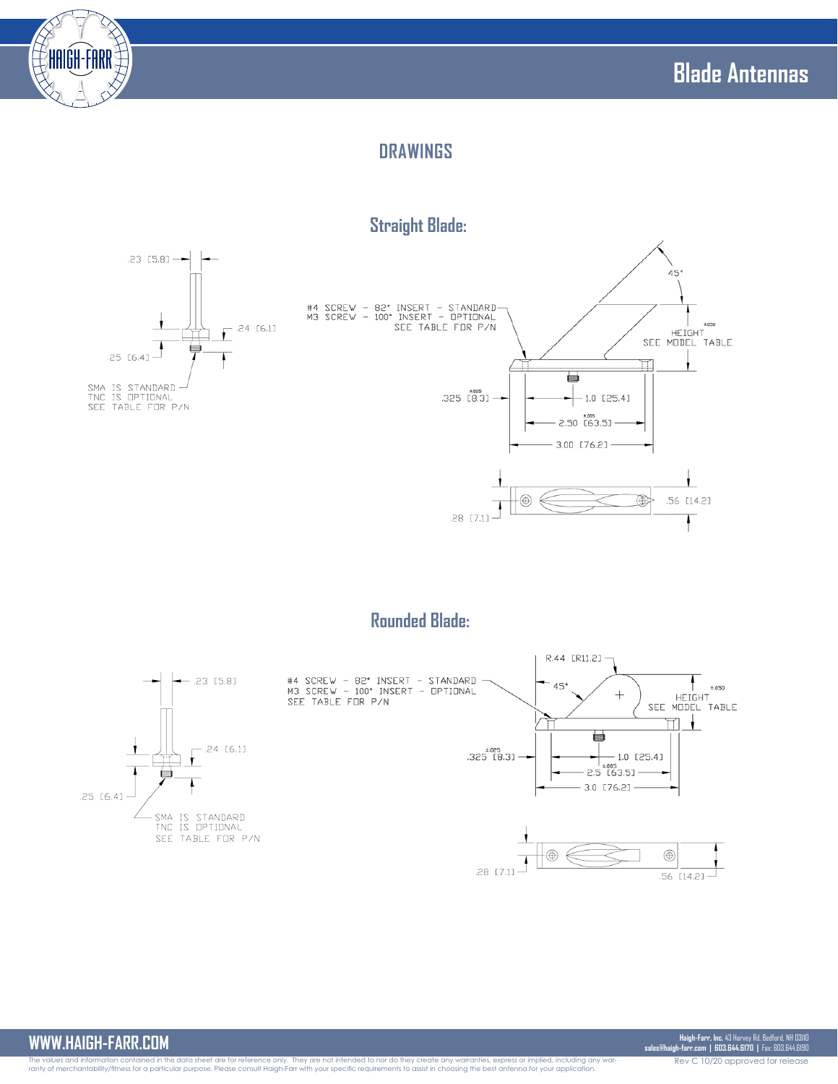

# **DRAWINGS**

# **Straight Blade:**





## **Rounded Blade:**



#### **WWW.HAIGH-FARR.COM**

Rev C 10/20 approved for release **Haigh-Farr, Inc.** 43 Harvey Rd, Bedford, NH 03110 **sales@haigh-farr.com | 603.644.6170 |** Fax: 603.644.6190